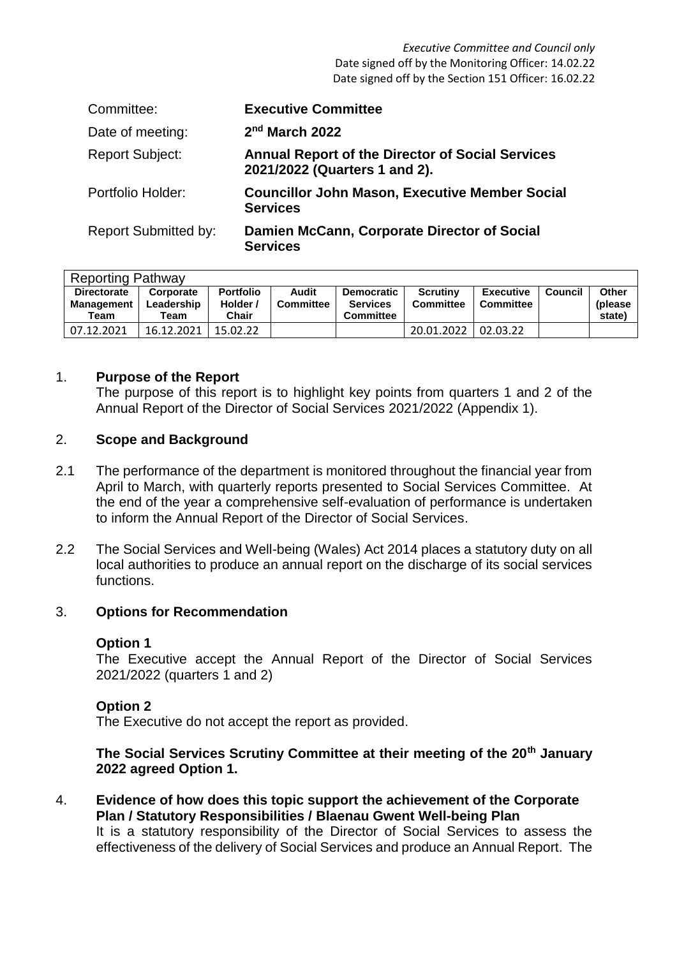*Executive Committee and Council only* Date signed off by the Monitoring Officer: 14.02.22 Date signed off by the Section 151 Officer: 16.02.22

| Committee:                  | <b>Executive Committee</b>                                                               |
|-----------------------------|------------------------------------------------------------------------------------------|
| Date of meeting:            | 2 <sup>nd</sup> March 2022                                                               |
| <b>Report Subject:</b>      | <b>Annual Report of the Director of Social Services</b><br>2021/2022 (Quarters 1 and 2). |
| Portfolio Holder:           | <b>Councillor John Mason, Executive Member Social</b><br><b>Services</b>                 |
| <b>Report Submitted by:</b> | Damien McCann, Corporate Director of Social<br><b>Services</b>                           |

|                    | <b>Reporting Pathway</b> |                  |                  |                   |                  |           |         |              |  |  |
|--------------------|--------------------------|------------------|------------------|-------------------|------------------|-----------|---------|--------------|--|--|
| <b>Directorate</b> | Corporate                | <b>Portfolio</b> | Audit            | <b>Democratic</b> | <b>Scrutiny</b>  | Executive | Council | <b>Other</b> |  |  |
| Management         | Leadership               | Holder /         | <b>Committee</b> | <b>Services</b>   | <b>Committee</b> | Committee |         | (please)     |  |  |
| Team               | Team                     | Chair            |                  | <b>Committee</b>  |                  |           |         | state)       |  |  |
| 07.12.2021         | 16.12.2021               | 15.02.22         |                  |                   | 20.01.2022       | 02.03.22  |         |              |  |  |

## 1. **Purpose of the Report**

The purpose of this report is to highlight key points from quarters 1 and 2 of the Annual Report of the Director of Social Services 2021/2022 (Appendix 1).

#### 2. **Scope and Background**

- 2.1 The performance of the department is monitored throughout the financial year from April to March, with quarterly reports presented to Social Services Committee. At the end of the year a comprehensive self-evaluation of performance is undertaken to inform the Annual Report of the Director of Social Services.
- 2.2 The Social Services and Well-being (Wales) Act 2014 places a statutory duty on all local authorities to produce an annual report on the discharge of its social services functions.

### 3. **Options for Recommendation**

### **Option 1**

The Executive accept the Annual Report of the Director of Social Services 2021/2022 (quarters 1 and 2)

### **Option 2**

The Executive do not accept the report as provided.

## **The Social Services Scrutiny Committee at their meeting of the 20th January 2022 agreed Option 1.**

4. **Evidence of how does this topic support the achievement of the Corporate Plan / Statutory Responsibilities / Blaenau Gwent Well-being Plan** It is a statutory responsibility of the Director of Social Services to assess the effectiveness of the delivery of Social Services and produce an Annual Report. The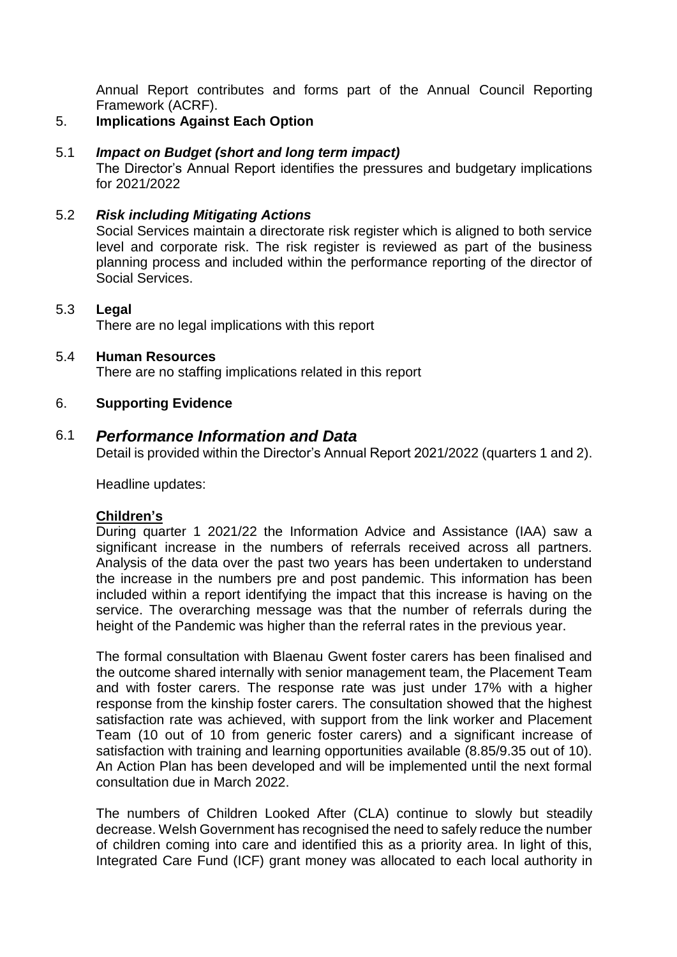Annual Report contributes and forms part of the Annual Council Reporting Framework (ACRF).

#### 5. **Implications Against Each Option**

#### 5.1 *Impact on Budget (short and long term impact)*

The Director's Annual Report identifies the pressures and budgetary implications for 2021/2022

## 5.2 *Risk including Mitigating Actions*

Social Services maintain a directorate risk register which is aligned to both service level and corporate risk. The risk register is reviewed as part of the business planning process and included within the performance reporting of the director of Social Services.

## 5.3 **Legal**

There are no legal implications with this report

# 5.4 **Human Resources**

There are no staffing implications related in this report

## 6. **Supporting Evidence**

# 6.1 *Performance Information and Data*

Detail is provided within the Director's Annual Report 2021/2022 (quarters 1 and 2).

Headline updates:

## **Children's**

During quarter 1 2021/22 the Information Advice and Assistance (IAA) saw a significant increase in the numbers of referrals received across all partners. Analysis of the data over the past two years has been undertaken to understand the increase in the numbers pre and post pandemic. This information has been included within a report identifying the impact that this increase is having on the service. The overarching message was that the number of referrals during the height of the Pandemic was higher than the referral rates in the previous year.

The formal consultation with Blaenau Gwent foster carers has been finalised and the outcome shared internally with senior management team, the Placement Team and with foster carers. The response rate was just under 17% with a higher response from the kinship foster carers. The consultation showed that the highest satisfaction rate was achieved, with support from the link worker and Placement Team (10 out of 10 from generic foster carers) and a significant increase of satisfaction with training and learning opportunities available (8.85/9.35 out of 10). An Action Plan has been developed and will be implemented until the next formal consultation due in March 2022.

The numbers of Children Looked After (CLA) continue to slowly but steadily decrease. Welsh Government has recognised the need to safely reduce the number of children coming into care and identified this as a priority area. In light of this, Integrated Care Fund (ICF) grant money was allocated to each local authority in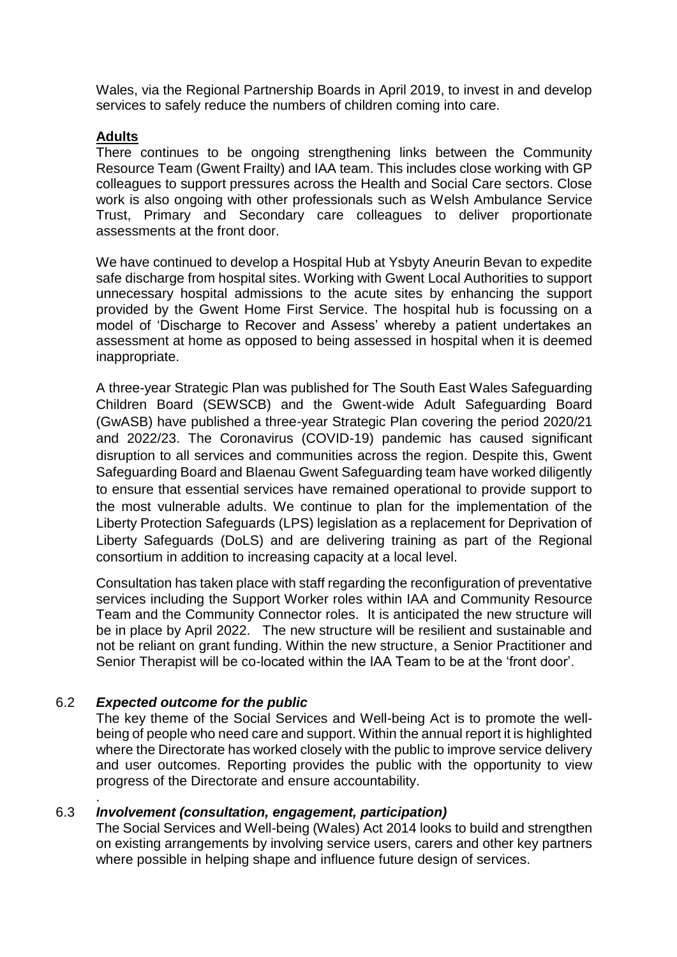Wales, via the Regional Partnership Boards in April 2019, to invest in and develop services to safely reduce the numbers of children coming into care.

# **Adults**

There continues to be ongoing strengthening links between the Community Resource Team (Gwent Frailty) and IAA team. This includes close working with GP colleagues to support pressures across the Health and Social Care sectors. Close work is also ongoing with other professionals such as Welsh Ambulance Service Trust, Primary and Secondary care colleagues to deliver proportionate assessments at the front door.

We have continued to develop a Hospital Hub at Ysbyty Aneurin Bevan to expedite safe discharge from hospital sites. Working with Gwent Local Authorities to support unnecessary hospital admissions to the acute sites by enhancing the support provided by the Gwent Home First Service. The hospital hub is focussing on a model of 'Discharge to Recover and Assess' whereby a patient undertakes an assessment at home as opposed to being assessed in hospital when it is deemed inappropriate.

A three-year Strategic Plan was published for The South East Wales Safeguarding Children Board (SEWSCB) and the Gwent-wide Adult Safeguarding Board (GwASB) have published a three-year Strategic Plan covering the period 2020/21 and 2022/23. The Coronavirus (COVID-19) pandemic has caused significant disruption to all services and communities across the region. Despite this, Gwent Safeguarding Board and Blaenau Gwent Safeguarding team have worked diligently to ensure that essential services have remained operational to provide support to the most vulnerable adults. We continue to plan for the implementation of the Liberty Protection Safeguards (LPS) legislation as a replacement for Deprivation of Liberty Safeguards (DoLS) and are delivering training as part of the Regional consortium in addition to increasing capacity at a local level.

Consultation has taken place with staff regarding the reconfiguration of preventative services including the Support Worker roles within IAA and Community Resource Team and the Community Connector roles. It is anticipated the new structure will be in place by April 2022. The new structure will be resilient and sustainable and not be reliant on grant funding. Within the new structure, a Senior Practitioner and Senior Therapist will be co-located within the IAA Team to be at the 'front door'.

# 6.2 *Expected outcome for the public*

.

The key theme of the Social Services and Well-being Act is to promote the wellbeing of people who need care and support. Within the annual report it is highlighted where the Directorate has worked closely with the public to improve service delivery and user outcomes. Reporting provides the public with the opportunity to view progress of the Directorate and ensure accountability.

## 6.3 *Involvement (consultation, engagement, participation)*

The Social Services and Well-being (Wales) Act 2014 looks to build and strengthen on existing arrangements by involving service users, carers and other key partners where possible in helping shape and influence future design of services.